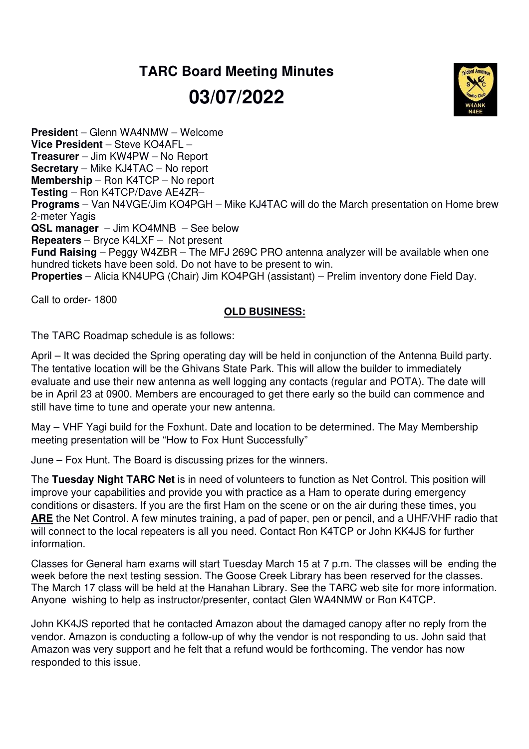## **TARC Board Meeting Minutes 03/07/2022**



**Presiden**t – Glenn WA4NMW – Welcome **Vice President** – Steve KO4AFL – **Treasurer** – Jim KW4PW – No Report **Secretary** – Mike KJ4TAC – No report **Membership** – Ron K4TCP – No report **Testing** – Ron K4TCP/Dave AE4ZR– **Programs** – Van N4VGE/Jim KO4PGH – Mike KJ4TAC will do the March presentation on Home brew 2-meter Yagis **QSL manager** – Jim KO4MNB – See below **Repeaters** – Bryce K4LXF – Not present **Fund Raising** – Peggy W4ZBR – The MFJ 269C PRO antenna analyzer will be available when one hundred tickets have been sold. Do not have to be present to win. **Properties** – Alicia KN4UPG (Chair) Jim KO4PGH (assistant) – Prelim inventory done Field Day.

Call to order- 1800

## **OLD BUSINESS:**

The TARC Roadmap schedule is as follows:

April – It was decided the Spring operating day will be held in conjunction of the Antenna Build party. The tentative location will be the Ghivans State Park. This will allow the builder to immediately evaluate and use their new antenna as well logging any contacts (regular and POTA). The date will be in April 23 at 0900. Members are encouraged to get there early so the build can commence and still have time to tune and operate your new antenna.

May – VHF Yagi build for the Foxhunt. Date and location to be determined. The May Membership meeting presentation will be "How to Fox Hunt Successfully"

June – Fox Hunt. The Board is discussing prizes for the winners.

The **Tuesday Night TARC Net** is in need of volunteers to function as Net Control. This position will improve your capabilities and provide you with practice as a Ham to operate during emergency conditions or disasters. If you are the first Ham on the scene or on the air during these times, you **ARE** the Net Control. A few minutes training, a pad of paper, pen or pencil, and a UHF/VHF radio that will connect to the local repeaters is all you need. Contact Ron K4TCP or John KK4JS for further information.

Classes for General ham exams will start Tuesday March 15 at 7 p.m. The classes will be ending the week before the next testing session. The Goose Creek Library has been reserved for the classes. The March 17 class will be held at the Hanahan Library. See the TARC web site for more information. Anyone wishing to help as instructor/presenter, contact Glen WA4NMW or Ron K4TCP.

John KK4JS reported that he contacted Amazon about the damaged canopy after no reply from the vendor. Amazon is conducting a follow-up of why the vendor is not responding to us. John said that Amazon was very support and he felt that a refund would be forthcoming. The vendor has now responded to this issue.